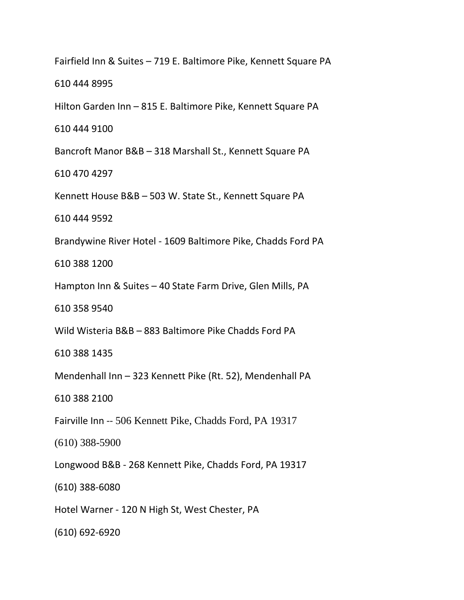Fairfield Inn & Suites – 719 E. Baltimore Pike, Kennett Square PA

610 444 8995

Hilton Garden Inn – 815 E. Baltimore Pike, Kennett Square PA

610 444 9100

Bancroft Manor B&B – 318 Marshall St., Kennett Square PA

610 470 4297

Kennett House B&B – 503 W. State St., Kennett Square PA

610 444 9592

Brandywine River Hotel - 1609 Baltimore Pike, Chadds Ford PA

610 388 1200

Hampton Inn & Suites – 40 State Farm Drive, Glen Mills, PA

610 358 9540

Wild Wisteria B&B – 883 Baltimore Pike Chadds Ford PA

610 388 1435

Mendenhall Inn – 323 Kennett Pike (Rt. 52), Mendenhall PA

610 388 2100

Fairville Inn -- 506 Kennett Pike, Chadds Ford, PA 19317

(610) 388-5900

Longwood B&B - 268 Kennett Pike, Chadds Ford, PA 19317

(610) 388-6080

Hotel Warner - 120 N High St, West Chester, PA

(610) 692-6920